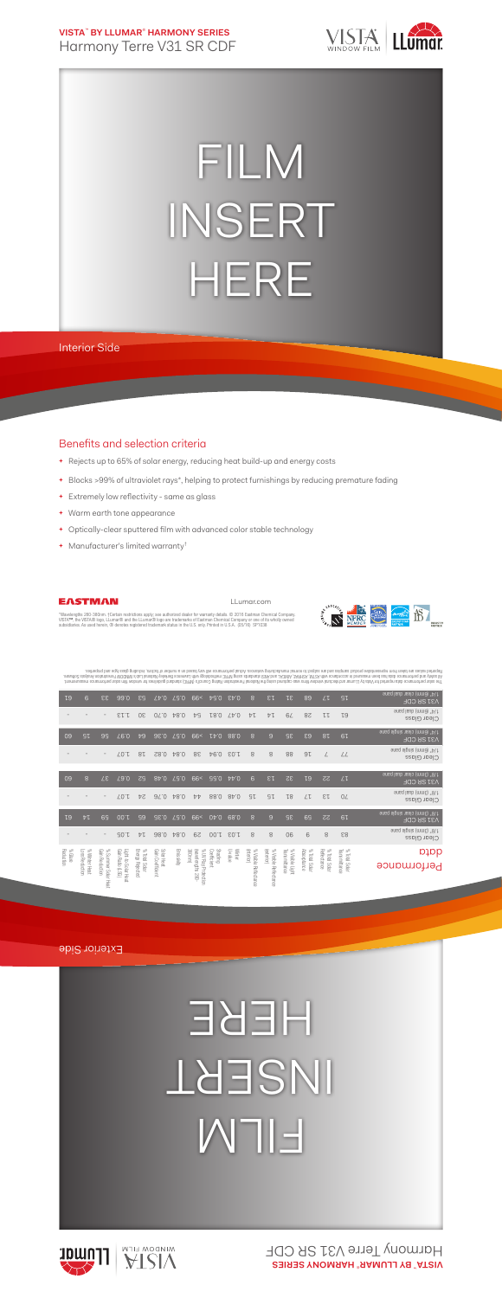**VISTA**™  **BY LLUMAR**®  **HARMONY SERIES** Harmony Terre V31 SR CDF



## FILM INSERT HERE

Interior Side

## Benefits and selection criteria

- **+** Rejects up to 65% of solar energy, reducing heat build-up and energy costs
- **+** Blocks >99% of ultraviolet rays\*, helping to protect furnishings by reducing premature fading
- **+** Extremely low reflectivity same as glass
- **+** Warm earth tone appearance
- **+** Optically-clear sputtered film with advanced color stable technology
- **+** Manufacturer's limited warranty†



LLumar.com



"Wavelengths 280-380nm. †Certain restrictions apply; see authorized dealer for warranty details. © 2016 Eastman Chemical Company.<br>VISTA™, the VISTA® logo, LLumar® and the LLumar® logo are trademarks of Eastman Chemical Com